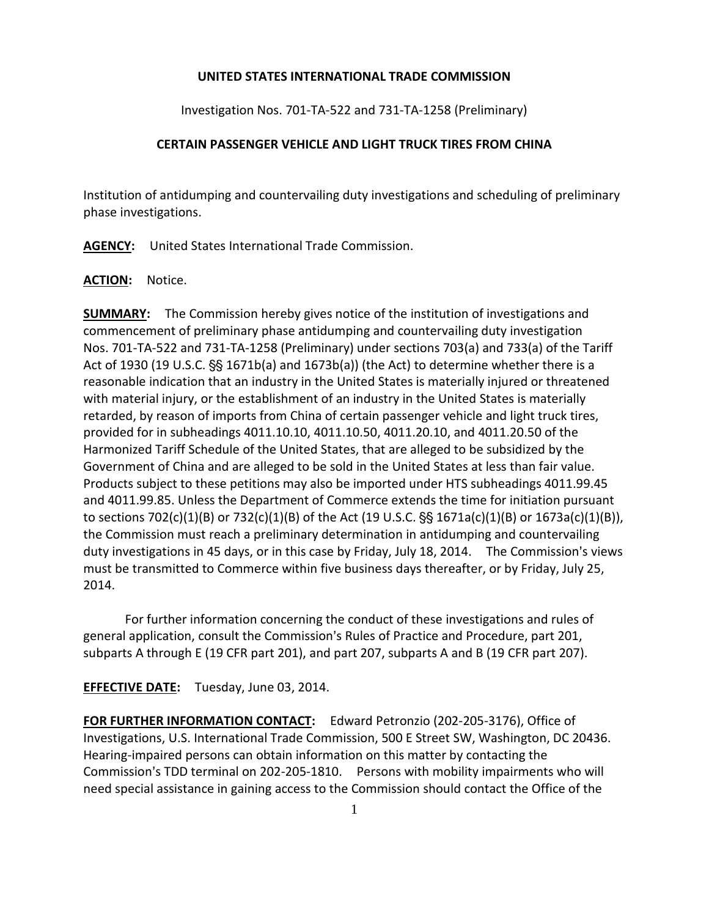## **UNITED STATES INTERNATIONAL TRADE COMMISSION**

Investigation Nos. 701-TA-522 and 731-TA-1258 (Preliminary)

## **CERTAIN PASSENGER VEHICLE AND LIGHT TRUCK TIRES FROM CHINA**

Institution of antidumping and countervailing duty investigations and scheduling of preliminary phase investigations.

**AGENCY:** United States International Trade Commission.

## **ACTION:** Notice.

**SUMMARY:** The Commission hereby gives notice of the institution of investigations and commencement of preliminary phase antidumping and countervailing duty investigation Nos. 701-TA-522 and 731-TA-1258 (Preliminary) under sections 703(a) and 733(a) of the Tariff Act of 1930 (19 U.S.C.  $S_5$  1671b(a) and 1673b(a)) (the Act) to determine whether there is a reasonable indication that an industry in the United States is materially injured or threatened with material injury, or the establishment of an industry in the United States is materially retarded, by reason of imports from China of certain passenger vehicle and light truck tires, provided for in subheadings 4011.10.10, 4011.10.50, 4011.20.10, and 4011.20.50 of the Harmonized Tariff Schedule of the United States, that are alleged to be subsidized by the Government of China and are alleged to be sold in the United States at less than fair value. Products subject to these petitions may also be imported under HTS subheadings 4011.99.45 and 4011.99.85. Unless the Department of Commerce extends the time for initiation pursuant to sections 702(c)(1)(B) or 732(c)(1)(B) of the Act (19 U.S.C.  $\S$  1671a(c)(1)(B) or 1673a(c)(1)(B)), the Commission must reach a preliminary determination in antidumping and countervailing duty investigations in 45 days, or in this case by Friday, July 18, 2014. The Commission's views must be transmitted to Commerce within five business days thereafter, or by Friday, July 25, 2014.

For further information concerning the conduct of these investigations and rules of general application, consult the Commission's Rules of Practice and Procedure, part 201, subparts A through E (19 CFR part 201), and part 207, subparts A and B (19 CFR part 207).

**EFFECTIVE DATE:** Tuesday, June 03, 2014.

**FOR FURTHER INFORMATION CONTACT:** Edward Petronzio (202-205-3176), Office of Investigations, U.S. International Trade Commission, 500 E Street SW, Washington, DC 20436. Hearing-impaired persons can obtain information on this matter by contacting the Commission's TDD terminal on 202-205-1810. Persons with mobility impairments who will need special assistance in gaining access to the Commission should contact the Office of the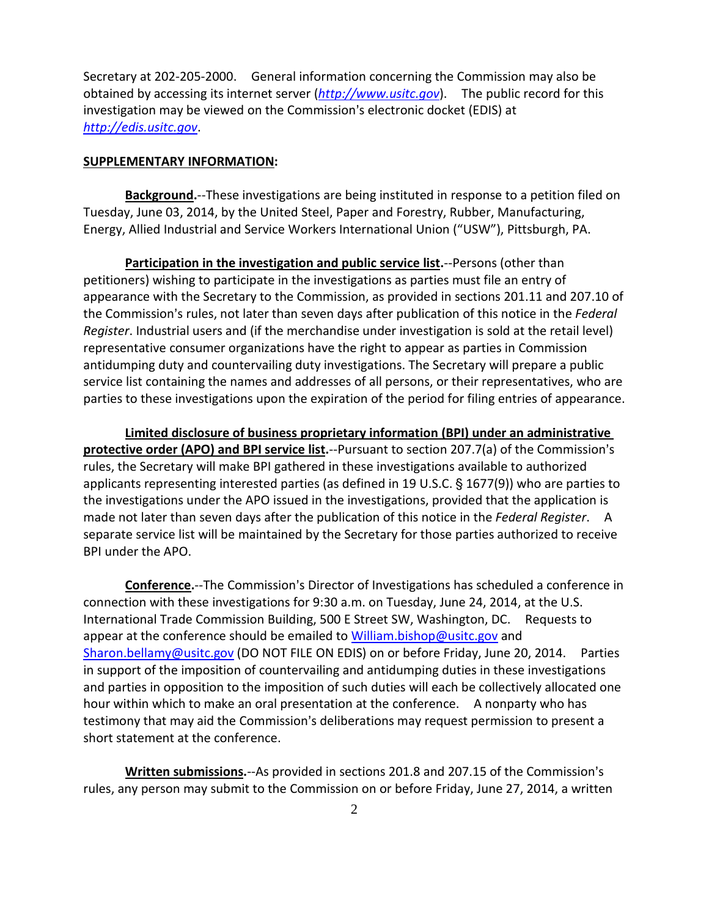Secretary at 202-205-2000. General information concerning the Commission may also be obtained by accessing its internet server (*[http://www.usitc.gov](http://www.usitc.gov/)*). The public record for this investigation may be viewed on the Commission's electronic docket (EDIS) at *[http://edis.usitc.gov](http://edis.usitc.gov/)*.

## **SUPPLEMENTARY INFORMATION:**

**Background.**--These investigations are being instituted in response to a petition filed on Tuesday, June 03, 2014, by the United Steel, Paper and Forestry, Rubber, Manufacturing, Energy, Allied Industrial and Service Workers International Union ("USW"), Pittsburgh, PA.

**Participation in the investigation and public service list.**--Persons (other than petitioners) wishing to participate in the investigations as parties must file an entry of appearance with the Secretary to the Commission, as provided in sections 201.11 and 207.10 of the Commission's rules, not later than seven days after publication of this notice in the *Federal Register*. Industrial users and (if the merchandise under investigation is sold at the retail level) representative consumer organizations have the right to appear as parties in Commission antidumping duty and countervailing duty investigations. The Secretary will prepare a public service list containing the names and addresses of all persons, or their representatives, who are parties to these investigations upon the expiration of the period for filing entries of appearance.

**Limited disclosure of business proprietary information (BPI) under an administrative protective order (APO) and BPI service list.**--Pursuant to section 207.7(a) of the Commission's rules, the Secretary will make BPI gathered in these investigations available to authorized applicants representing interested parties (as defined in 19 U.S.C.  $\S$  1677(9)) who are parties to the investigations under the APO issued in the investigations, provided that the application is made not later than seven days after the publication of this notice in the *Federal Register*. A separate service list will be maintained by the Secretary for those parties authorized to receive BPI under the APO.

**Conference.**--The Commission's Director of Investigations has scheduled a conference in connection with these investigations for 9:30 a.m. on Tuesday, June 24, 2014, at the U.S. International Trade Commission Building, 500 E Street SW, Washington, DC. Requests to appear at the conference should be emailed to [William.bishop@usitc.gov](mailto:William.bishop@usitc.gov) and [Sharon.bellamy@usitc.gov](mailto:Sharon.bellamy@usitc.gov)) (DO NOT FILE ON EDIS) on or before Friday, June 20, 2014. Parties in support of the imposition of countervailing and antidumping duties in these investigations and parties in opposition to the imposition of such duties will each be collectively allocated one hour within which to make an oral presentation at the conference. A nonparty who has testimony that may aid the Commission's deliberations may request permission to present a short statement at the conference.

**Written submissions.**--As provided in sections 201.8 and 207.15 of the Commission's rules, any person may submit to the Commission on or before Friday, June 27, 2014, a written